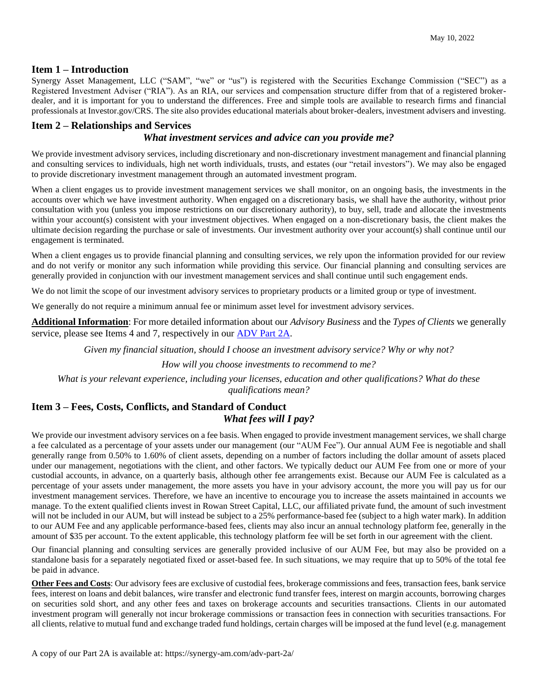#### **Item 1 – Introduction**

Synergy Asset Management, LLC ("SAM", "we" or "us") is registered with the Securities Exchange Commission ("SEC") as a Registered Investment Adviser ("RIA"). As an RIA, our services and compensation structure differ from that of a registered brokerdealer, and it is important for you to understand the differences. Free and simple tools are available to research firms and financial professionals at Investor.gov/CRS. The site also provides educational materials about broker-dealers, investment advisers and investing.

## **Item 2 – Relationships and Services**

#### *What investment services and advice can you provide me?*

We provide investment advisory services, including discretionary and non-discretionary investment management and financial planning and consulting services to individuals, high net worth individuals, trusts, and estates (our "retail investors"). We may also be engaged to provide discretionary investment management through an automated investment program.

When a client engages us to provide investment management services we shall monitor, on an ongoing basis, the investments in the accounts over which we have investment authority. When engaged on a discretionary basis, we shall have the authority, without prior consultation with you (unless you impose restrictions on our discretionary authority), to buy, sell, trade and allocate the investments within your account(s) consistent with your investment objectives. When engaged on a non-discretionary basis, the client makes the ultimate decision regarding the purchase or sale of investments. Our investment authority over your account(s) shall continue until our engagement is terminated.

When a client engages us to provide financial planning and consulting services, we rely upon the information provided for our review and do not verify or monitor any such information while providing this service. Our financial planning and consulting services are generally provided in conjunction with our investment management services and shall continue until such engagement ends.

We do not limit the scope of our investment advisory services to proprietary products or a limited group or type of investment.

We generally do not require a minimum annual fee or minimum asset level for investment advisory services.

**Additional Information**: For more detailed information about our *Advisory Business* and the *Types of Clients* we generally service, please see Items 4 and 7, respectively in our **ADV** Part 2A.

*Given my financial situation, should I choose an investment advisory service? Why or why not?*

*How will you choose investments to recommend to me?*

*What is your relevant experience, including your licenses, education and other qualifications? What do these qualifications mean?*

# **Item 3 – Fees, Costs, Conflicts, and Standard of Conduct**

### *What fees will I pay?*

We provide our investment advisory services on a fee basis. When engaged to provide investment management services, we shall charge a fee calculated as a percentage of your assets under our management (our "AUM Fee"). Our annual AUM Fee is negotiable and shall generally range from 0.50% to 1.60% of client assets, depending on a number of factors including the dollar amount of assets placed under our management, negotiations with the client, and other factors. We typically deduct our AUM Fee from one or more of your custodial accounts, in advance, on a quarterly basis, although other fee arrangements exist. Because our AUM Fee is calculated as a percentage of your assets under management, the more assets you have in your advisory account, the more you will pay us for our investment management services. Therefore, we have an incentive to encourage you to increase the assets maintained in accounts we manage. To the extent qualified clients invest in Rowan Street Capital, LLC, our affiliated private fund, the amount of such investment will not be included in our AUM, but will instead be subject to a 25% performance-based fee (subject to a high water mark). In addition to our AUM Fee and any applicable performance-based fees, clients may also incur an annual technology platform fee, generally in the amount of \$35 per account. To the extent applicable, this technology platform fee will be set forth in our agreement with the client.

Our financial planning and consulting services are generally provided inclusive of our AUM Fee, but may also be provided on a standalone basis for a separately negotiated fixed or asset-based fee. In such situations, we may require that up to 50% of the total fee be paid in advance.

**Other Fees and Costs**: Our advisory fees are exclusive of custodial fees, brokerage commissions and fees, transaction fees, bank service fees, interest on loans and debit balances, wire transfer and electronic fund transfer fees, interest on margin accounts, borrowing charges on securities sold short, and any other fees and taxes on brokerage accounts and securities transactions. Clients in our automated investment program will generally not incur brokerage commissions or transaction fees in connection with securities transactions. For all clients, relative to mutual fund and exchange traded fund holdings, certain charges will be imposed at the fund level (e.g. management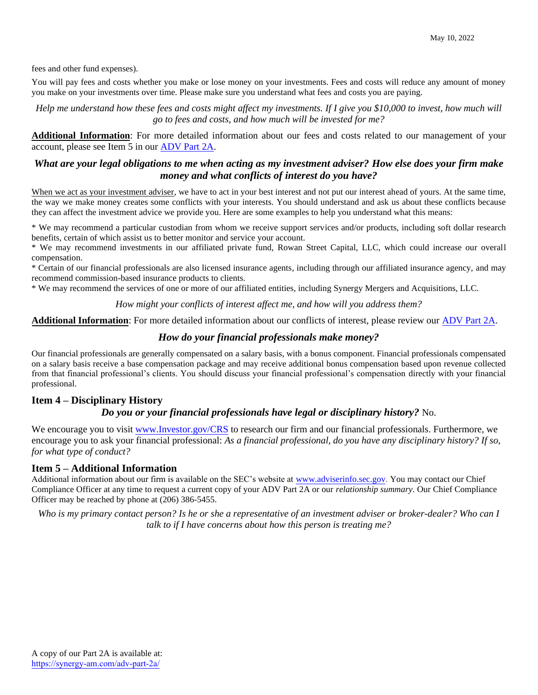fees and other fund expenses).

You will pay fees and costs whether you make or lose money on your investments. Fees and costs will reduce any amount of money you make on your investments over time. Please make sure you understand what fees and costs you are paying.

*Help me understand how these fees and costs might affect my investments. If I give you \$10,000 to invest, how much will go to fees and costs, and how much will be invested for me?*

**Additional Information**: For more detailed information about our fees and costs related to our management of your account, please see Item 5 in our [ADV Part 2A.](https://synergy-am.com/adv-part-2a/) 

## *What are your legal obligations to me when acting as my investment adviser? How else does your firm make money and what conflicts of interest do you have?*

When we act as your investment adviser, we have to act in your best interest and not put our interest ahead of yours. At the same time, the way we make money creates some conflicts with your interests. You should understand and ask us about these conflicts because they can affect the investment advice we provide you. Here are some examples to help you understand what this means:

\* We may recommend a particular custodian from whom we receive support services and/or products, including soft dollar research benefits, certain of which assist us to better monitor and service your account.

\* We may recommend investments in our affiliated private fund, Rowan Street Capital, LLC, which could increase our overall compensation.

\* Certain of our financial professionals are also licensed insurance agents, including through our affiliated insurance agency, and may recommend commission-based insurance products to clients.

\* We may recommend the services of one or more of our affiliated entities, including Synergy Mergers and Acquisitions, LLC.

*How might your conflicts of interest affect me, and how will you address them?* 

**Additional Information**: For more detailed information about our conflicts of interest, please review our [ADV Part 2A.](https://synergy-am.com/adv-part-2a/) 

## *How do your financial professionals make money?*

Our financial professionals are generally compensated on a salary basis, with a bonus component. Financial professionals compensated on a salary basis receive a base compensation package and may receive additional bonus compensation based upon revenue collected from that financial professional's clients. You should discuss your financial professional's compensation directly with your financial professional.

## **Item 4 – Disciplinary History**

#### *Do you or your financial professionals have legal or disciplinary history?* No.

We encourage you to visit [www.Investor.gov/CRS](http://www.investor.gov/CRS) to research our firm and our financial professionals. Furthermore, we encourage you to ask your financial professional: *As a financial professional, do you have any disciplinary history? If so, for what type of conduct?*

#### **Item 5 – Additional Information**

Additional information about our firm is available on the SEC's website at [www.adviserinfo.sec.gov.](http://www.adviserinfo.sec.gov/) You may contact our Chief Compliance Officer at any time to request a current copy of your ADV Part 2A or our *relationship summary*. Our Chief Compliance Officer may be reached by phone at (206) 386-5455.

*Who is my primary contact person? Is he or she a representative of an investment adviser or broker-dealer? Who can I talk to if I have concerns about how this person is treating me?*